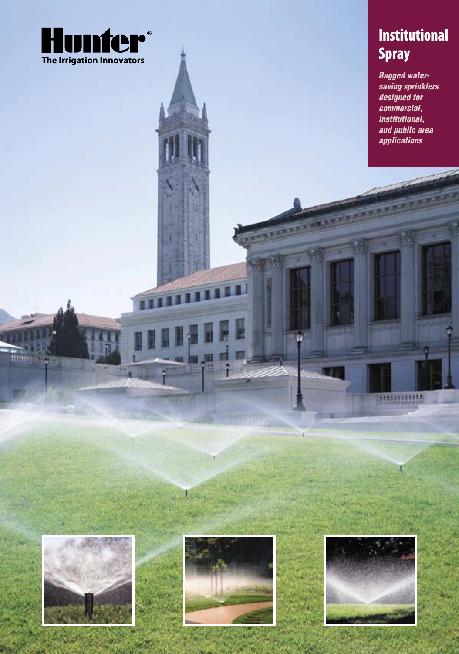

# **Institutional** Spray

Rugged watersaving sprinklers designed for commercial, institutional, and public area applications

minning

U



mme

 $+2001$ 



RUTHULLE

**DENSIS** 

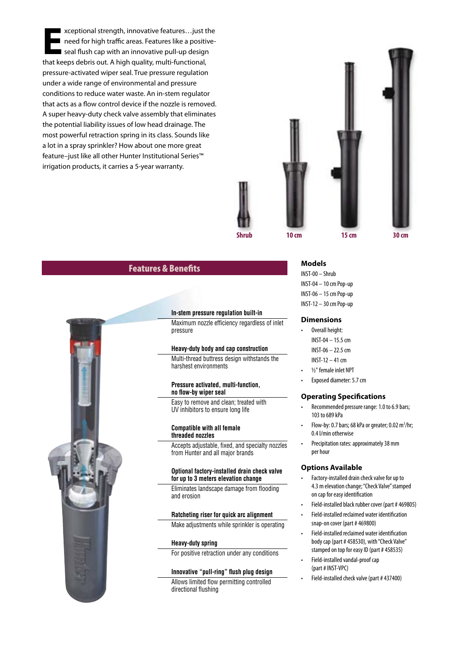**E**xceptional strength, innovative features…just the need for high traffic areas. Features like a positiveseal flush cap with an innovative pull-up design that keeps debris out. A high quality, multi-functional, pressure-activated wiper seal. True pressure regulation under a wide range of environmental and pressure conditions to reduce water waste. An in-stem regulator that acts as a flow control device if the nozzle is removed. A super heavy-duty check valve assembly that eliminates the potential liability issues of low head drainage. The most powerful retraction spring in its class. Sounds like a lot in a spray sprinkler? How about one more great feature–just like all other Hunter Institutional Series™ irrigation products, it carries a 5-year warranty.



# Features & Benefits



## **In-stem pressure regulation built-in**

Maximum nozzle efficiency regardless of inlet pressure

## **Heavy-duty body and cap construction**

Multi-thread buttress design withstands the harshest environments

#### **Pressure activated, multi-function, no flow-by wiper seal**

Easy to remove and clean; treated with UV inhibitors to ensure long life

#### **Compatible with all female threaded nozzles**

Accepts adjustable, fixed, and specialty nozzles from Hunter and all major brands

#### **Optional factory-installed drain check valve for up to 3 meters elevation change**

Eliminates landscape damage from flooding and erosion

## **Ratcheting riser for quick arc alignment**

Make adjustments while sprinkler is operating

## **Heavy-duty spring**

For positive retraction under any conditions

## **Innovative "pull-ring" flush plug design**

Allows limited flow permitting controlled directional flushing

## **Models**

INST-00 – Shrub INST-04 – 10 cm Pop-up INST-06 – 15 cm Pop-up INST-12 – 30 cm Pop-up

#### **Dimensions**

- Overall height: INST-04 – 15.5 cm INST-06 – 22.5 cm INST-12 – 41 cm
- ½" female inlet NPT
- Exposed diameter: 5.7 cm

#### **Operating Specifications**

- Recommended pressure range: 1.0 to 6.9 bars; 103 to 689 kPa
- Flow-by: 0.7 bars; 68 kPa or greater; 0.02  $\text{m}^3/\text{hr}$ ; 0.4 l/min otherwise
- Precipitation rates: approximately 38 mm per hour

#### **Options Available**

- Factory-installed drain check valve for up to 4.3 m elevation change; "Check Valve" stamped on cap for easy identification
- Field-installed black rubber cover (part # 469805)
- Field-installed reclaimed water identification snap-on cover (part # 469800)
- Field-installed reclaimed water identification body cap (part # 458530), with "Check Valve" stamped on top for easy ID (part # 458535)
- Field-installed vandal-proof cap (part # INST-VPC)
- Field-installed check valve (part # 437400)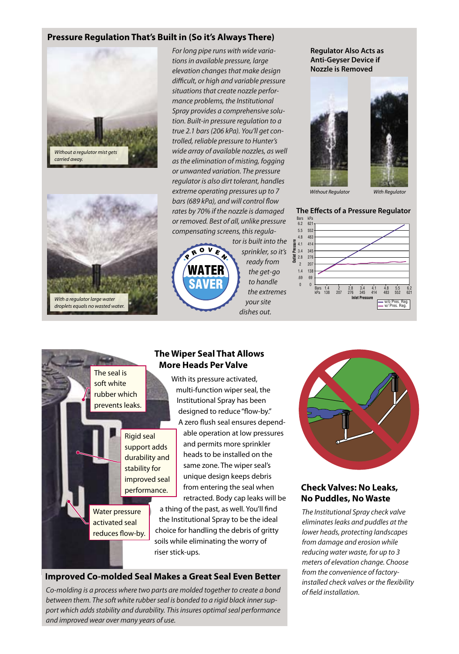# **Pressure Regulation That's Built in (So it's Always There)**





For long pipe runs with wide variations in available pressure, large elevation changes that make design difficult, or high and variable pressure situations that create nozzle performance problems, the Institutional Spray provides a comprehensive solution. Built-in pressure regulation to a true 2.1 bars (206 kPa). You'll get controlled, reliable pressure to Hunter's wide array of available nozzles, as well as the elimination of misting, fogging or unwanted variation. The pressure regulator is also dirt tolerant, handles extreme operating pressures up to 7 bars (689 kPa), and will control flow rates by 70% if the nozzle is damaged or removed. Best of all, unlike pressure compensating screens, this regula-



tor is built into the sprinkler, so it's ready from the get-go to handle the extremes your site dishes out.

**Regulator Also Acts as Anti-Geyser Device if Nozzle is Removed**





Without Regulator With Regulator

## **The Effects of a Pressure Regulator**



The seal is soft white rubber which prevents leaks.

> Rigid seal support adds durability and stability for improved seal performance.

Water pressure activated seal reduces flow-by.

# **The Wiper Seal That Allows More Heads Per Valve**

With its pressure activated, multi-function wiper seal, the Institutional Spray has been designed to reduce "flow-by." A zero flush seal ensures dependable operation at low pressures and permits more sprinkler heads to be installed on the same zone. The wiper seal's unique design keeps debris

from entering the seal when retracted. Body cap leaks will be a thing of the past, as well. You'll find the Institutional Spray to be the ideal choice for handling the debris of gritty soils while eliminating the worry of

riser stick-ups.

# **Improved Co-molded Seal Makes a Great Seal Even Better**

Co-molding is a process where two parts are molded together to create a bond between them. The soft white rubber seal is bonded to a rigid black inner support which adds stability and durability. This insures optimal seal performance and improved wear over many years of use.



# **Check Valves: No Leaks, No Puddles, No Waste**

The Institutional Spray check valve eliminates leaks and puddles at the lower heads, protecting landscapes from damage and erosion while reducing water waste, for up to 3 meters of elevation change. Choose from the convenience of factoryinstalled check valves or the flexibility of field installation.